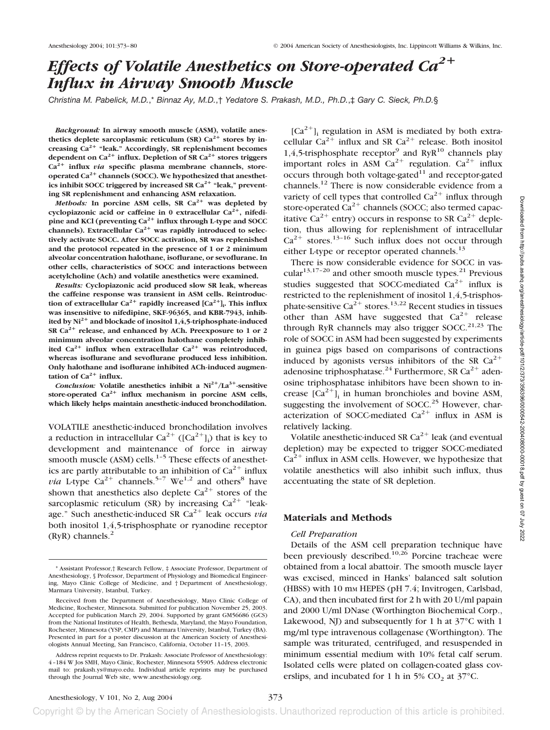# *Effects of Volatile Anesthetics on Store-operated Ca2 Influx in Airway Smooth Muscle*

*Christina M. Pabelick, M.D.*,\* *Binnaz Ay, M.D.*,† *Yedatore S. Prakash, M.D., Ph.D.*,‡ *Gary C. Sieck, Ph.D.*§

*Background:* **In airway smooth muscle (ASM), volatile anesthetics deplete sarcoplasmic reticulum (SR)**  $Ca^{2+}$  **stores by increasing Ca2 "leak." Accordingly, SR replenishment becomes** dependent on  $Ca^{2+}$  influx. Depletion of SR  $Ca^{2+}$  stores triggers **Ca2 influx** *via* **specific plasma membrane channels, store**operated Ca<sup>2+</sup> channels (SOCC). We hypothesized that anesthetics inhibit SOCC triggered by increased SR Ca<sup>2+</sup> "leak," prevent**ing SR replenishment and enhancing ASM relaxation.**

*Methods:* In porcine ASM cells, SR  $Ca^{2+}$  was depleted by **cyclopiazonic acid or caffeine in 0 extracellular Ca2, nifedipine and KCl (preventing Ca2 influx through L-type and SOCC** channels). Extracellular Ca<sup>2+</sup> was rapidly introduced to selec**tively activate SOCC. After SOCC activation, SR was replenished and the protocol repeated in the presence of 1 or 2 minimum alveolar concentration halothane, isoflurane, or sevoflurane. In other cells, characteristics of SOCC and interactions between acetylcholine (Ach) and volatile anesthetics were examined.**

*Results:* **Cyclopiazonic acid produced slow SR leak, whereas the caffeine response was transient in ASM cells. Reintroduction of extracellular** Ca<sup>2+</sup> rapidly increased [Ca<sup>2+</sup>]<sub>i</sub>. This influx **was insensitive to nifedipine, SKF-96365, and KBR-7943, inhibited by Ni2 and blockade of inositol 1,4,5-triphosphate-induced SR Ca2 release, and enhanced by ACh. Preexposure to 1 or 2 minimum alveolar concentration halothane completely inhib**ited  $Ca^{2+}$  influx when extracellular  $Ca^{2+}$  was reintroduced, **whereas isoflurane and sevoflurane produced less inhibition. Only halothane and isoflurane inhibited ACh-induced augmentation of Ca<sup>** $2+$ **</sup> <b>influx.** 

*Conclusion:* **Volatile anesthetics inhibit a Ni2/La3-sensitive** store-operated Ca<sup>2+</sup> influx mechanism in porcine ASM cells, **which likely helps maintain anesthetic-induced bronchodilation.**

VOLATILE anesthetic-induced bronchodilation involves a reduction in intracellular Ca<sup>2+</sup> ([Ca<sup>2+</sup>]<sub>i</sub>) that is key to development and maintenance of force in airway smooth muscle (ASM) cells.<sup>1-5</sup> These effects of anesthetics are partly attributable to an inhibition of  $Ca^{2+}$  influx *via* L-type  $Ca^{2+}$  channels.<sup>5-7</sup> We<sup>1,2</sup> and others<sup>8</sup> have shown that anesthetics also deplete  $Ca^{2+}$  stores of the sarcoplasmic reticulum (SR) by increasing  $Ca^{2+}$  "leakage." Such anesthetic-induced SR  $Ca^{2+}$  leak occurs *via* both inositol 1,4,5-trisphosphate or ryanodine receptor  $(RyR)$  channels.<sup>2</sup>

 $[Ca^{2+}]$ <sub>i</sub> regulation in ASM is mediated by both extracellular  $Ca^{2+}$  influx and SR  $Ca^{2+}$  release. Both inositol 1,4,5-trisphosphate receptor<sup>9</sup> and RyR<sup>10</sup> channels play important roles in ASM Ca<sup>2+</sup> regulation. Ca<sup>2+</sup> influx occurs through both voltage-gated $11$  and receptor-gated channels.12 There is now considerable evidence from a variety of cell types that controlled  $Ca^{2+}$  influx through store-operated  $Ca^{2+}$  channels (SOCC; also termed capacitative Ca<sup>2+</sup> entry) occurs in response to SR Ca<sup>2+</sup> depletion, thus allowing for replenishment of intracellular  $Ca^{2+}$  stores.<sup>13–16</sup> Such influx does not occur through either L-type or receptor operated channels.<sup>13</sup>

There is now considerable evidence for SOCC in vascular $13,17-20$  and other smooth muscle types.<sup>21</sup> Previous studies suggested that SOCC-mediated  $Ca^{2+}$  influx is restricted to the replenishment of inositol 1,4,5-trisphosphate-sensitive  $Ca^{2+}$  stores.<sup>13,22</sup> Recent studies in tissues other than ASM have suggested that  $Ca^{2+}$  release through RyR channels may also trigger SOCC.<sup>21,23</sup> The role of SOCC in ASM had been suggested by experiments in guinea pigs based on comparisons of contractions induced by agonists versus inhibitors of the SR  $Ca^{2+}$ adenosine triphosphatase.<sup>24</sup> Furthermore, SR Ca<sup>2+</sup> adenosine triphosphatase inhibitors have been shown to increase  $[\text{Ca}^{2+}]$ <sub>i</sub> in human bronchioles and bovine ASM, suggesting the involvement of SOCC.<sup>25</sup> However, characterization of SOCC-mediated  $Ca^{2+}$  influx in ASM is relatively lacking.

Volatile anesthetic-induced SR  $Ca^{2+}$  leak (and eventual depletion) may be expected to trigger SOCC-mediated  $Ca<sup>2+</sup>$  influx in ASM cells. However, we hypothesize that volatile anesthetics will also inhibit such influx, thus accentuating the state of SR depletion.

# **Materials and Methods**

#### *Cell Preparation*

Details of the ASM cell preparation technique have been previously described.<sup>10,26</sup> Porcine tracheae were obtained from a local abattoir. The smooth muscle layer was excised, minced in Hanks' balanced salt solution (HBSS) with 10 mM HEPES (pH 7.4; Invitrogen, Carlsbad, CA), and then incubated first for 2 h with 20 U/ml papain and 2000 U/ml DNase (Worthington Biochemical Corp., Lakewood, NJ) and subsequently for 1 h at  $37^{\circ}$ C with 1 mg/ml type intravenous collagenase (Worthington). The sample was triturated, centrifuged, and resuspended in minimum essential medium with 10% fetal calf serum. Isolated cells were plated on collagen-coated glass coverslips, and incubated for 1 h in 5%  $CO<sub>2</sub>$  at 37 $°C$ .

<sup>\*</sup> Assistant Professor,† Research Fellow, ‡ Associate Professor, Department of Anesthesiology, § Professor, Department of Physiology and Biomedical Engineering, Mayo Clinic College of Medicine, and † Department of Anesthesiology, Marmara University, Istanbul, Turkey.

Received from the Department of Anesthesiology, Mayo Clinic College of Medicine, Rochester, Minnesota. Submitted for publication November 25, 2003. Accepted for publication March 29, 2004. Supported by grant GM56686 (GCS) from the National Institutes of Health, Bethesda, Maryland, the Mayo Foundation, Rochester, Minnesota (YSP, CMP) and Marmara University, Istanbul, Turkey (BA). Presented in part for a poster discussion at the American Society of Anesthesiologists Annual Meeting, San Francisco, California, October 11–15, 2003.

Address reprint requests to Dr. Prakash: Associate Professor of Anesthesiology: 4–184 W Jos SMH, Mayo Clinic, Rochester, Minnesota 55905. Address electronic mail to: prakash.ys@mayo.edu. Individual article reprints may be purchased through the Journal Web site, www.anesthesiology.org.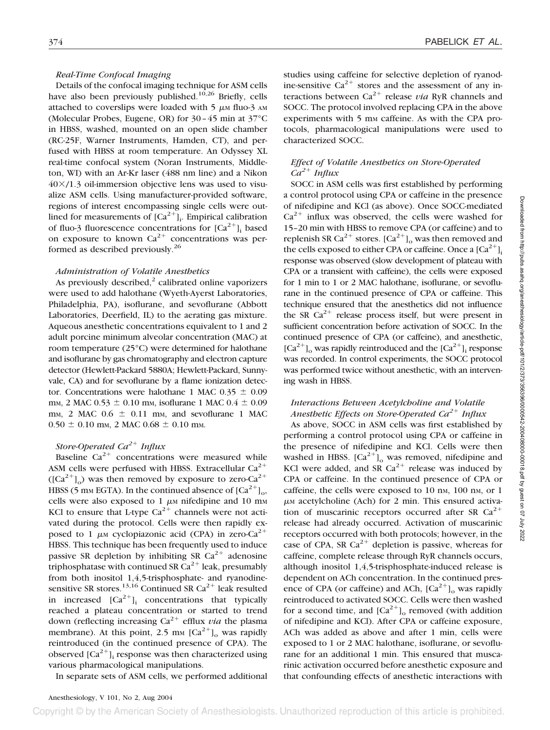#### *Real-Time Confocal Imaging*

Details of the confocal imaging technique for ASM cells have also been previously published.<sup>10,26</sup> Briefly, cells attached to coverslips were loaded with  $5 \mu M$  fluo-3 AM (Molecular Probes, Eugene, OR) for 30–45 min at 37°C in HBSS, washed, mounted on an open slide chamber (RC-25F, Warner Instruments, Hamden, CT), and perfused with HBSS at room temperature. An Odyssey XL real-time confocal system (Noran Instruments, Middleton, WI) with an Ar-Kr laser (488 nm line) and a Nikon  $40\times/1.3$  oil-immersion objective lens was used to visualize ASM cells. Using manufacturer-provided software, regions of interest encompassing single cells were outlined for measurements of  $[Ca^{2+}]_i$ . Empirical calibration of fluo-3 fluorescence concentrations for  $[Ca^{2+}]$ , based on exposure to known  $Ca^{2+}$  concentrations was performed as described previously.26

#### *Administration of Volatile Anesthetics*

As previously described, $2$  calibrated online vaporizers were used to add halothane (Wyeth-Ayerst Laboratories, Philadelphia, PA), isoflurane, and sevoflurane (Abbott Laboratories, Deerfield, IL) to the aerating gas mixture. Aqueous anesthetic concentrations equivalent to 1 and 2 adult porcine minimum alveolar concentration (MAC) at room temperature (25°C) were determined for halothane and isoflurane by gas chromatography and electron capture detector (Hewlett-Packard 5880A; Hewlett-Packard, Sunnyvale, CA) and for sevoflurane by a flame ionization detector. Concentrations were halothane 1 MAC  $0.35 \pm 0.09$ mm, 2 MAC  $0.53 \pm 0.10$  mm, isoflurane 1 MAC  $0.4 \pm 0.09$ mm, 2 MAC  $0.6 \pm 0.11$  mm, and sevoflurane 1 MAC  $0.50 \pm 0.10$  mm, 2 MAC  $0.68 \pm 0.10$  mm.

#### *Store-Operated Ca*<sup>2+</sup> *Influx*

Baseline  $Ca^{2+}$  concentrations were measured while ASM cells were perfused with HBSS. Extracellular  $Ca^{2+}$  $([Ca<sup>2+</sup>]_{\odot})$  was then removed by exposure to zero-Ca<sup>2+</sup> HBSS (5 mm EGTA). In the continued absence of  $\lceil Ca^{2+} \rceil_{\alpha}$ , cells were also exposed to 1  $\mu$ M nifedipine and 10 mM KCl to ensure that L-type  $Ca^{2+}$  channels were not activated during the protocol. Cells were then rapidly exposed to 1  $\mu$ M cyclopiazonic acid (CPA) in zero-Ca<sup>2+</sup> HBSS. This technique has been frequently used to induce passive SR depletion by inhibiting SR  $Ca^{2+}$  adenosine triphosphatase with continued SR  $Ca^{2+}$  leak, presumably from both inositol 1,4,5-trisphosphate- and ryanodinesensitive SR stores.<sup>13,16</sup> Continued SR Ca<sup>2+</sup> leak resulted in increased  $[Ca^{2+}]$ ; concentrations that typically reached a plateau concentration or started to trend down (reflecting increasing  $Ca^{2+}$  efflux *via* the plasma membrane). At this point, 2.5 mm  $\lbrack Ca^{2+} \rbrack$  was rapidly reintroduced (in the continued presence of CPA). The observed  $[Ca^{2+}]$ , response was then characterized using various pharmacological manipulations.

In separate sets of ASM cells, we performed additional

# *Effect of Volatile Anesthetics on Store-Operated*  $Ca^{2+}$  *Influx*

SOCC in ASM cells was first established by performing a control protocol using CPA or caffeine in the presence of nifedipine and KCl (as above). Once SOCC-mediated  $Ca^{2+}$  influx was observed, the cells were washed for 15–20 min with HBSS to remove CPA (or caffeine) and to replenish SR Ca<sup>2+</sup> stores.  $\left[ Ca^{2+} \right]_0$  was then removed and the cells exposed to either CPA or caffeine. Once a  $\lbrack Ca^{2+}\rbrack$ , response was observed (slow development of plateau with CPA or a transient with caffeine), the cells were exposed for 1 min to 1 or 2 MAC halothane, isoflurane, or sevoflurane in the continued presence of CPA or caffeine. This technique ensured that the anesthetics did not influence the SR  $Ca^{2+}$  release process itself, but were present in sufficient concentration before activation of SOCC. In the continued presence of CPA (or caffeine), and anesthetic,  $[Ca^{2+}]$ , was rapidly reintroduced and the  $[Ca^{2+}]$ , response was recorded. In control experiments, the SOCC protocol was performed twice without anesthetic, with an intervening wash in HBSS.

# *Interactions Between Acetylcholine and Volatile Anesthetic Effects on Store-Operated Ca*<sup>2+</sup> Influx

As above, SOCC in ASM cells was first established by performing a control protocol using CPA or caffeine in the presence of nifedipine and KCl. Cells were then washed in HBSS.  $[Ca^{2+}]_{\alpha}$  was removed, nifedipine and KCl were added, and SR  $Ca^{2+}$  release was induced by CPA or caffeine. In the continued presence of CPA or caffeine, the cells were exposed to 10 nm, 100 nm, or 1  $\mu$ <sub>M</sub> acetylcholine (Ach) for 2 min. This ensured activation of muscarinic receptors occurred after SR  $Ca^{2+}$ release had already occurred. Activation of muscarinic receptors occurred with both protocols; however, in the case of CPA, SR  $Ca^{2+}$  depletion is passive, whereas for caffeine, complete release through RyR channels occurs, although inositol 1,4,5-trisphosphate-induced release is dependent on ACh concentration. In the continued presence of CPA (or caffeine) and ACh,  $[Ca^{2+}]_0$  was rapidly reintroduced to activated SOCC. Cells were then washed for a second time, and  $\left[Ca^{2+}\right]_0$  removed (with addition of nifedipine and KCl). After CPA or caffeine exposure, ACh was added as above and after 1 min, cells were exposed to 1 or 2 MAC halothane, isoflurane, or sevoflurane for an additional 1 min. This ensured that muscarinic activation occurred before anesthetic exposure and that confounding effects of anesthetic interactions with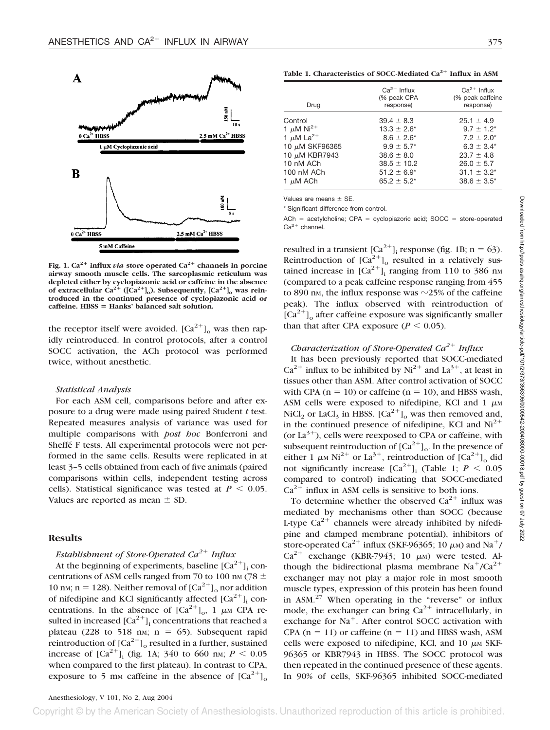

Fig. 1.  $Ca^{2+}$  influx *via* store operated  $Ca^{2+}$  channels in porcine **airway smooth muscle cells. The sarcoplasmic reticulum was depleted either by cyclopiazonic acid or caffeine in the absence** of extracellular  $Ca^{2+}$  ([Ca<sup>2+</sup>]<sub>o</sub>). Subsequently, [Ca<sup>2+</sup>]<sub>o</sub> was rein**troduced in the continued presence of cyclopiazonic acid or caffeine. HBSS** - **Hanks' balanced salt solution.**

the receptor itself were avoided.  ${[Ca}^{2+}]_o$  was then rapidly reintroduced. In control protocols, after a control SOCC activation, the ACh protocol was performed twice, without anesthetic.

#### *Statistical Analysis*

For each ASM cell, comparisons before and after exposure to a drug were made using paired Student *t* test. Repeated measures analysis of variance was used for multiple comparisons with *post hoc* Bonferroni and Sheffé F tests. All experimental protocols were not performed in the same cells. Results were replicated in at least 3–5 cells obtained from each of five animals (paired comparisons within cells, independent testing across cells). Statistical significance was tested at  $P \leq 0.05$ . Values are reported as mean  $\pm$  SD.

# **Results**

# *Establishment of Store-Operated Ca*<sup>2+</sup> *Influx*

At the beginning of experiments, baseline  $[Ca^{2+}]$ <sub>i</sub> concentrations of ASM cells ranged from 70 to 100 nm (78  $\pm$ 10 nm; n = 128). Neither removal of  $\left[Ca^{2+}\right]_0$  nor addition of nifedipine and KCl significantly affected  $[Ca^{2+}]$ , concentrations. In the absence of  $[Ca^{2+}]_0$ , 1  $\mu$ M CPA resulted in increased  $[Ca^{2+}]$ <sub>i</sub> concentrations that reached a plateau (228 to 518 nm;  $n = 65$ ). Subsequent rapid reintroduction of  $\left[Ca^{2+}\right]_0$  resulted in a further, sustained increase of  $[Ca^{2+}]$ <sub>i</sub> (fig. 1A; 340 to 660 nm; *P* < 0.05 when compared to the first plateau). In contrast to CPA, exposure to 5 mm caffeine in the absence of  $[Ca^{2+}]_0$ 

Table 1. Characteristics of SOCC-Mediated Ca<sup>2+</sup> Influx in ASM

| Drug                       | $Ca^{2+}$ Influx<br>(% peak CPA<br>response) | $Ca^{2+}$ Influx<br>(% peak caffeine<br>response) |
|----------------------------|----------------------------------------------|---------------------------------------------------|
| Control                    | $39.4 \pm 8.3$                               | $25.1 \pm 4.9$                                    |
| 1 $\mu$ M Ni <sup>2+</sup> | $13.3 \pm 2.6^*$                             | $9.7 \pm 1.2^*$                                   |
| 1 $\mu$ M La <sup>2+</sup> | $8.6 \pm 2.6^*$                              | $7.2 \pm 2.0^*$                                   |
| 10 μM SKF96365             | $9.9 \pm 5.7^*$                              | $6.3 \pm 3.4^*$                                   |
| 10 μM KBR7943              | $38.6 \pm 8.0$                               | $23.7 \pm 4.8$                                    |
| 10 nM ACh                  | $38.5 \pm 10.2$                              | $26.0 \pm 5.7$                                    |
| 100 nM ACh                 | $51.2 \pm 6.9^*$                             | $31.1 \pm 3.2^*$                                  |
| 1 μM ACh                   | $65.2 \pm 5.2^*$                             | $38.6 \pm 3.5^*$                                  |
|                            |                                              |                                                   |

Values are means  $\pm$  SE.

\* Significant difference from control.

 $ACh$  = acetylcholine;  $CPA$  = cyclopiazoric acid;  $SOCC$  = store-operated  $Ca<sup>2+</sup> channel.$ 

resulted in a transient  $[Ca^{2+}]$ <sub>i</sub> response (fig. 1B; n = 63). Reintroduction of  $\left[\text{Ca}^{2+}\right]_0$  resulted in a relatively sustained increase in  $[Ca^{2+}]$ , ranging from 110 to 386 nm (compared to a peak caffeine response ranging from 455 to 890 nm, the influx response was  $\sim$ 25% of the caffeine peak). The influx observed with reintroduction of  $\left[Ca^{2+}\right]$ <sub>o</sub> after caffeine exposure was significantly smaller than that after CPA exposure  $(P < 0.05)$ .

### *Characterization of Store-Operated Ca*<sup>2+</sup> Influx

It has been previously reported that SOCC-mediated  $Ca^{2+}$  influx to be inhibited by Ni<sup>2+</sup> and La<sup>3+</sup>, at least in tissues other than ASM. After control activation of SOCC with CPA  $(n = 10)$  or caffeine  $(n = 10)$ , and HBSS wash, ASM cells were exposed to nifedipine, KCl and  $1 \mu$ M NiCl<sub>2</sub> or LaCl<sub>3</sub> in HBSS.  $\left[Ca^{2+}\right]_0$  was then removed and, in the continued presence of nifedipine, KCl and  $Ni<sup>2+</sup>$ (or  $La^{3+}$ ), cells were reexposed to CPA or caffeine, with subsequent reintroduction of  $\left[Ca^{2+}\right]$ <sub>o</sub>. In the presence of either 1  $\mu$ M Ni<sup>2+</sup> or La<sup>3+</sup>, reintroduction of  $\left[Ca^{2+}\right]_0$  did not significantly increase  $\lceil Ca^{2+} \rceil$  (Table 1;  $P \le 0.05$ ) compared to control) indicating that SOCC-mediated  $Ca^{2+}$  influx in ASM cells is sensitive to both ions.

To determine whether the observed  $Ca^{2+}$  influx was mediated by mechanisms other than SOCC (because L-type  $Ca^{2+}$  channels were already inhibited by nifedipine and clamped membrane potential), inhibitors of store-operated Ca<sup>2+</sup> influx (SKF-96365; 10  $\mu$ m) and Na<sup>+</sup>/  $Ca^{2+}$  exchange (KBR-7943; 10  $\mu$ M) were tested. Although the bidirectional plasma membrane  $Na^{+}/Ca^{2+}$ exchanger may not play a major role in most smooth muscle types, expression of this protein has been found in  $\text{ASM.}^{27}$  When operating in the "reverse" or influx mode, the exchanger can bring  $Ca^{2+}$  intracellularly, in exchange for  $Na<sup>+</sup>$ . After control SOCC activation with CPA  $(n = 11)$  or caffeine  $(n = 11)$  and HBSS wash, ASM cells were exposed to nifedipine, KCl, and  $10 \mu M$  SKF-96365 or KBR7943 in HBSS. The SOCC protocol was then repeated in the continued presence of these agents. In 90% of cells, SKF-96365 inhibited SOCC-mediated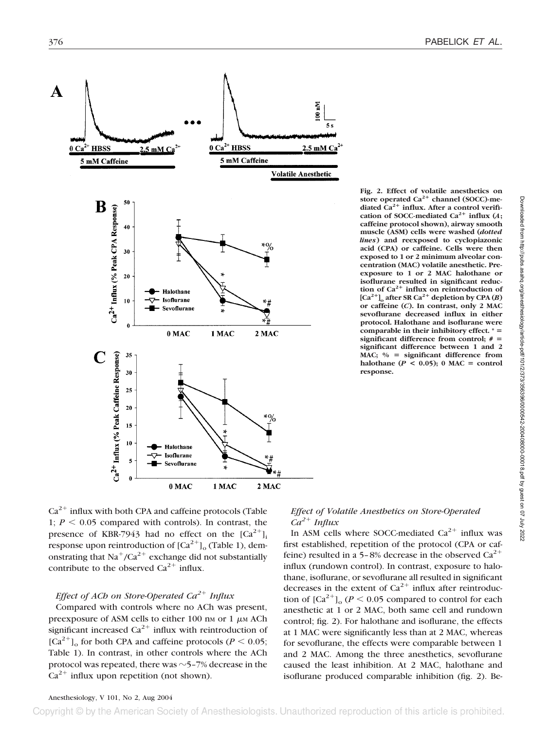

**Fig. 2. Effect of volatile anesthetics on** store operated Ca<sup>2+</sup> channel (SOCC)-mediated Ca<sup>2+</sup> influx. After a control verification of SOCC-mediated  $Ca^{2+}$  influx  $(A)$ : **caffeine protocol shown), airway smooth muscle (ASM) cells were washed (***dotted lines***) and reexposed to cyclopiazonic acid (CPA) or caffeine. Cells were then exposed to 1 or 2 minimum alveolar concentration (MAC) volatile anesthetic. Preexposure to 1 or 2 MAC halothane or isoflurane resulted in significant reduc**tion of Ca<sup>2+</sup> influx on reintroduction of  $[Ca^{2+}]$ <sub>o</sub> after SR  $Ca^{2+}$  depletion by CPA (*B*) **or caffeine (***C***). In contrast, only 2 MAC sevoflurane decreased influx in either protocol. Halothane and isoflurane were comparable in their inhibitory effect. \* significant difference from control; # significant difference between 1 and 2 MAC; %** - **significant difference from**  $halothane (P < 0.05); 0 MAC = control$ **response.**

 $Ca<sup>2+</sup>$  influx with both CPA and caffeine protocols (Table 1;  $P \leq 0.05$  compared with controls). In contrast, the presence of KBR-7943 had no effect on the  $[Ca^{2+}]$ <sub>i</sub> response upon reintroduction of  $[Ca^{2+}]_{\text{o}}$  (Table 1), demonstrating that  $Na^+/Ca^{2+}$  exchange did not substantially contribute to the observed  $Ca^{2+}$  influx.

# *Effect of ACh on Store-Operated Ca*<sup>2+</sup> *Influx*

Compared with controls where no ACh was present, preexposure of ASM cells to either 100 nm or 1  $\mu$ m ACh significant increased  $Ca^{2+}$  influx with reintroduction of  $[Ca^{2+}]_{\alpha}$  for both CPA and caffeine protocols (*P* < 0.05; Table 1). In contrast, in other controls where the ACh protocol was repeated, there was  $\sim$  5–7% decrease in the  $Ca^{2+}$  influx upon repetition (not shown).

#### *Effect of Volatile Anesthetics on Store-Operated*  $Ca^{2+}$  *Influx*

In ASM cells where SOCC-mediated  $Ca^{2+}$  influx was first established, repetition of the protocol (CPA or caffeine) resulted in a 5–8% decrease in the observed  $Ca^{2+}$ influx (rundown control). In contrast, exposure to halothane, isoflurane, or sevoflurane all resulted in significant decreases in the extent of  $Ca^{2+}$  influx after reintroduction of  $\left[Ca^{2+}\right]_0$  ( $P \le 0.05$  compared to control for each anesthetic at 1 or 2 MAC, both same cell and rundown control; fig. 2). For halothane and isoflurane, the effects at 1 MAC were significantly less than at 2 MAC, whereas for sevoflurane, the effects were comparable between 1 and 2 MAC. Among the three anesthetics, sevoflurane caused the least inhibition. At 2 MAC, halothane and isoflurane produced comparable inhibition (fig. 2). Be-

Copyright © by the American Society of Anesthesiologists. Unauthorized reproduction of this article is prohibited.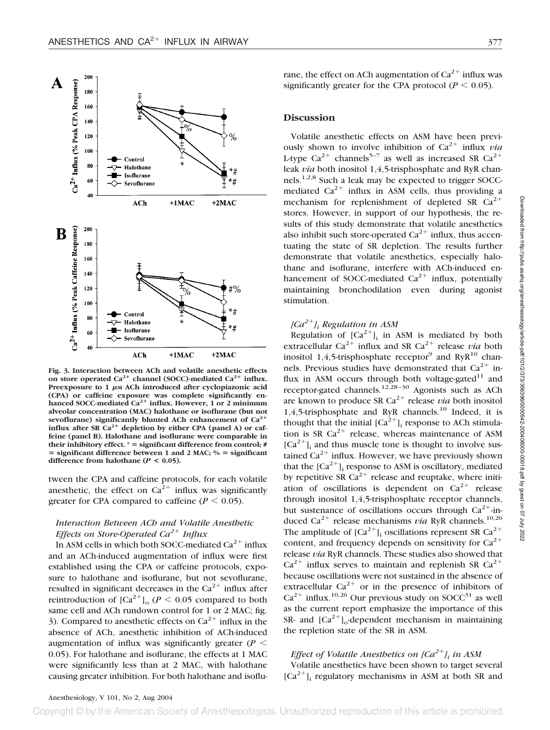

Fig. 3. Interaction between ACh and volatile anesthetic effects on store operated Ca<sup>2+</sup> channel (SOCC)-mediated Ca<sup>2+</sup> influx. Preexposure to  $1 \mu M$  ACh introduced after cyclopiazonic acid **(CPA) or caffeine exposure was complete significantly en**hanced SOCC-mediated Ca<sup>2+</sup> influx. However, 1 or 2 minimum **alveolar concentration (MAC) halothane or isoflurane (but not sevoflurane) significantly blunted ACh enhancement of Ca2** influx after SR Ca<sup>2+</sup> depletion by either CPA (panel A) or caf**feine (panel B). Halothane and isoflurane were comparable in their inhibitory effect. \*** - **significant difference from control; #** = significant difference between 1 and 2 MAC;  $\%$  = significant **difference from halothane (***P* **< 0.05).**

tween the CPA and caffeine protocols, for each volatile anesthetic, the effect on  $Ca^{2+}$  influx was significantly greater for CPA compared to caffeine  $(P < 0.05)$ .

# *Interaction Between ACh and Volatile Anesthetic Effects on Store-Operated Ca*<sup>2+</sup> *Influx*

In ASM cells in which both SOCC-mediated  $Ca^{2+}$  influx and an ACh-induced augmentation of influx were first established using the CPA or caffeine protocols, exposure to halothane and isoflurane, but not sevoflurane, resulted in significant decreases in the  $Ca^{2+}$  influx after reintroduction of  $\left[Ca^{2+}\right]_{0}$  ( $P < 0.05$  compared to both same cell and ACh rundown control for 1 or 2 MAC; fig. 3). Compared to anesthetic effects on  $Ca^{2+}$  influx in the absence of ACh, anesthetic inhibition of ACh-induced augmentation of influx was significantly greater ( $P$  < 0.05). For halothane and isoflurane, the effects at 1 MAC were significantly less than at 2 MAC, with halothane causing greater inhibition. For both halothane and isoflurane, the effect on ACh augmentation of  $Ca^{2+}$  influx was significantly greater for the CPA protocol ( $P < 0.05$ ).

#### **Discussion**

Volatile anesthetic effects on ASM have been previously shown to involve inhibition of  $Ca^{2+}$  influx *via* L-type Ca<sup>2+</sup> channels<sup>5-7</sup> as well as increased SR Ca<sup>2+</sup> leak *via* both inositol 1,4,5-trisphosphate and RyR channels.1,2,8 Such a leak may be expected to trigger SOCCmediated  $Ca^{2+}$  influx in ASM cells, thus providing a mechanism for replenishment of depleted SR  $Ca^{2+}$ stores. However, in support of our hypothesis, the results of this study demonstrate that volatile anesthetics also inhibit such store-operated  $Ca^{2+}$  influx, thus accentuating the state of SR depletion. The results further demonstrate that volatile anesthetics, especially halothane and isoflurane, interfere with ACh-induced enhancement of SOCC-mediated  $Ca^{2+}$  influx, potentially maintaining bronchodilation even during agonist stimulation.

# *[Ca2]i Regulation in ASM*

Regulation of  $[Ca^{2+}]$ <sub>i</sub> in ASM is mediated by both extracellular  $Ca^{2+}$  influx and SR  $Ca^{2+}$  release *via* both inositol 1,4,5-trisphosphate receptor<sup>9</sup> and RyR<sup>10</sup> channels. Previous studies have demonstrated that  $Ca^{2+}$  influx in ASM occurs through both voltage-gated $11$  and receptor-gated channels.<sup>12,28–30</sup> Agonists such as ACh are known to produce SR  $Ca^{2+}$  release *via* both inositol 1,4,5-trisphosphate and RyR channels.10 Indeed, it is thought that the initial  $[Ca^{2+}]$ <sub>i</sub> response to ACh stimulation is SR  $Ca^{2+}$  release, whereas maintenance of ASM  $[Ca^{2+}]$ <sub>i</sub> and thus muscle tone is thought to involve sustained  $Ca^{2+}$  influx. However, we have previously shown that the  $[Ca^{2+}]$ ; response to ASM is oscillatory, mediated by repetitive SR  $Ca^{2+}$  release and reuptake, where initiation of oscillations is dependent on  $Ca^{2+}$  release through inositol 1,4,5-trisphosphate receptor channels, but sustenance of oscillations occurs through  $Ca^{2+}$ -induced Ca<sup>2+</sup> release mechanisms *via* RyR channels.<sup>10,26</sup> The amplitude of  $[Ca^{2+}]$ <sub>i</sub> oscillations represent SR  $Ca^{2+}$ content, and frequency depends on sensitivity for  $Ca^{2+}$ release *via* RyR channels. These studies also showed that  $Ca^{2+}$  influx serves to maintain and replenish SR  $Ca^{2+}$ because oscillations were not sustained in the absence of extracellular  $Ca^{2+}$  or in the presence of inhibitors of  $Ca^{2+}$  influx.<sup>10,26</sup> Our previous study on SOCC<sup>31</sup> as well as the current report emphasize the importance of this SR- and  $\left[Ca^{2+}\right]_0$ -dependent mechanism in maintaining the repletion state of the SR in ASM.

# *Effect of Volatile Anesthetics on [Ca<sup>2+</sup>]<sub>i</sub> in ASM*

Volatile anesthetics have been shown to target several  $[Ca^{2+}]$ ; regulatory mechanisms in ASM at both SR and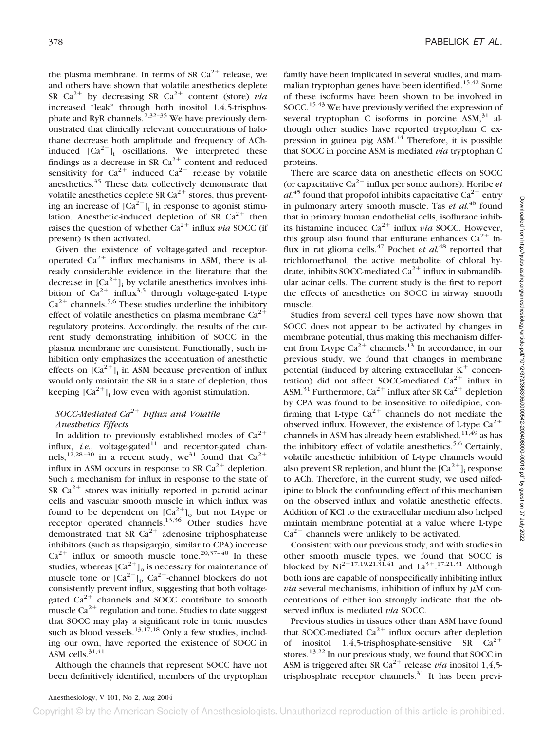the plasma membrane. In terms of SR  $Ca^{2+}$  release, we and others have shown that volatile anesthetics deplete SR  $Ca^{2+}$  by decreasing SR  $Ca^{2+}$  content (store) *via* increased "leak" through both inositol 1,4,5-trisphosphate and RyR channels.<sup>2,32-35</sup> We have previously demonstrated that clinically relevant concentrations of halothane decrease both amplitude and frequency of AChinduced  $[Ca^{2+}]$ , oscillations. We interpreted these findings as a decrease in SR  $Ca^{2+}$  content and reduced sensitivity for  $Ca^{2+}$  induced  $Ca^{2+}$  release by volatile anesthetics.<sup>35</sup> These data collectively demonstrate that volatile anesthetics deplete SR  $Ca^{2+}$  stores, thus preventing an increase of  $[Ca^{2+}]$ <sub>i</sub> in response to agonist stimulation. Anesthetic-induced depletion of SR  $Ca^{2+}$  then raises the question of whether  $Ca^{2+}$  influx *via* SOCC (if present) is then activated.

Given the existence of voltage-gated and receptoroperated  $Ca^{2+}$  influx mechanisms in ASM, there is already considerable evidence in the literature that the decrease in  $[Ca^{2+}]$ <sub>i</sub> by volatile anesthetics involves inhibition of  $Ca^{2+}$  influx<sup>3,5</sup> through voltage-gated L-type  $Ca^{2+}$  channels.<sup>5,6</sup> These studies underline the inhibitory effect of volatile anesthetics on plasma membrane  $Ca^{2+}$ regulatory proteins. Accordingly, the results of the current study demonstrating inhibition of SOCC in the plasma membrane are consistent. Functionally, such inhibition only emphasizes the accentuation of anesthetic effects on  $[Ca^{2+}]$ <sub>i</sub> in ASM because prevention of influx would only maintain the SR in a state of depletion, thus keeping  $[Ca^{2+}]$ , low even with agonist stimulation.

# *SOCC-Mediated Ca*<sup>2+</sup> *Influx and Volatile Anesthetics Effects*

In addition to previously established modes of  $Ca^{2+}$ influx,  $i.e.,$  voltage-gated<sup>11</sup> and receptor-gated channels,<sup>12,28-30</sup> in a recent study, we<sup>31</sup> found that  $Ca^{2+}$ influx in ASM occurs in response to SR  $Ca^{2+}$  depletion. Such a mechanism for influx in response to the state of SR  $Ca^{2+}$  stores was initially reported in parotid acinar cells and vascular smooth muscle in which influx was found to be dependent on  $[Ca^{2+}]_0$  but not L-type or receptor operated channels.<sup>13,36</sup> Other studies have demonstrated that SR  $Ca^{2+}$  adenosine triphosphatease inhibitors (such as thapsigargin, similar to CPA) increase  $Ca^{2+}$  influx or smooth muscle tone.<sup>20,37-40</sup> In these studies, whereas  $\left[Ca^{2+}\right]_0$  is necessary for maintenance of muscle tone or  $[Ca^{2+}]_i$ ,  $Ca^{2+}$ -channel blockers do not consistently prevent influx, suggesting that both voltagegated  $Ca^{2+}$  channels and SOCC contribute to smooth muscle  $Ca^{2+}$  regulation and tone. Studies to date suggest that SOCC may play a significant role in tonic muscles such as blood vessels.<sup>13,17,18</sup> Only a few studies, including our own, have reported the existence of SOCC in ASM cells. $31,41$ 

Although the channels that represent SOCC have not been definitively identified, members of the tryptophan

family have been implicated in several studies, and mammalian tryptophan genes have been identified.<sup>15,42</sup> Some of these isoforms have been shown to be involved in SOCC.<sup>15,43</sup> We have previously verified the expression of several tryptophan C isoforms in porcine  $ASM$ ,  $31$  although other studies have reported tryptophan C expression in guinea pig ASM.<sup>44</sup> Therefore, it is possible that SOCC in porcine ASM is mediated *via* tryptophan C proteins.

There are scarce data on anesthetic effects on SOCC (or capacitative  $Ca^{2+}$  influx per some authors). Horibe *et*  $al^{45}$  found that propofol inhibits capacitative  $Ca^{2+}$  entry in pulmonary artery smooth muscle. Tas *et al.*<sup>46</sup> found that in primary human endothelial cells, isoflurane inhibits histamine induced  $Ca^{2+}$  influx *via* SOCC. However, this group also found that enflurane enhances  $Ca^{2+}$  influx in rat glioma cells.<sup>47</sup> Pochet *et al.*<sup>48</sup> reported that trichloroethanol, the active metabolite of chloral hydrate, inhibits SOCC-mediated  $Ca^{2+}$  influx in submandibular acinar cells. The current study is the first to report the effects of anesthetics on SOCC in airway smooth muscle.

Studies from several cell types have now shown that SOCC does not appear to be activated by changes in membrane potential, thus making this mechanism different from L-type  $Ca^{2+}$  channels.<sup>13</sup> In accordance, in our previous study, we found that changes in membrane potential (induced by altering extracellular  $K^+$  concentration) did not affect SOCC-mediated  $Ca^{2+}$  influx in ASM.<sup>31</sup> Furthermore,  $Ca^{2+}$  influx after SR  $Ca^{2+}$  depletion by CPA was found to be insensitive to nifedipine, confirming that L-type  $Ca^{2+}$  channels do not mediate the observed influx. However, the existence of L-type  $Ca^{2+}$ channels in ASM has already been established,  $11,49$  as has the inhibitory effect of volatile anesthetics.<sup>5,6</sup> Certainly, volatile anesthetic inhibition of L-type channels would also prevent SR repletion, and blunt the  $[Ca^{2+}]$ ; response to ACh. Therefore, in the current study, we used nifedipine to block the confounding effect of this mechanism on the observed influx and volatile anesthetic effects. Addition of KCl to the extracellular medium also helped maintain membrane potential at a value where L-type  $Ca<sup>2+</sup>$  channels were unlikely to be activated.

Consistent with our previous study, and with studies in other smooth muscle types, we found that SOCC is blocked by  $Ni^{2+17,19,21,\overline{31},41}$  and  $La^{3+}.^{17,21,31}$  Although both ions are capable of nonspecifically inhibiting influx  $via$  several mechanisms, inhibition of influx by  $\mu$ M concentrations of either ion strongly indicate that the observed influx is mediated *via* SOCC.

Previous studies in tissues other than ASM have found that SOCC-mediated  $Ca^{2+}$  influx occurs after depletion of inositol 1,4,5-trisphosphate-sensitive SR  $Ca^{2+}$ stores.<sup>13,22</sup> In our previous study, we found that SOCC in ASM is triggered after SR Ca<sup>2+</sup> release *via* inositol 1,4,5trisphosphate receptor channels.<sup>31</sup> It has been previ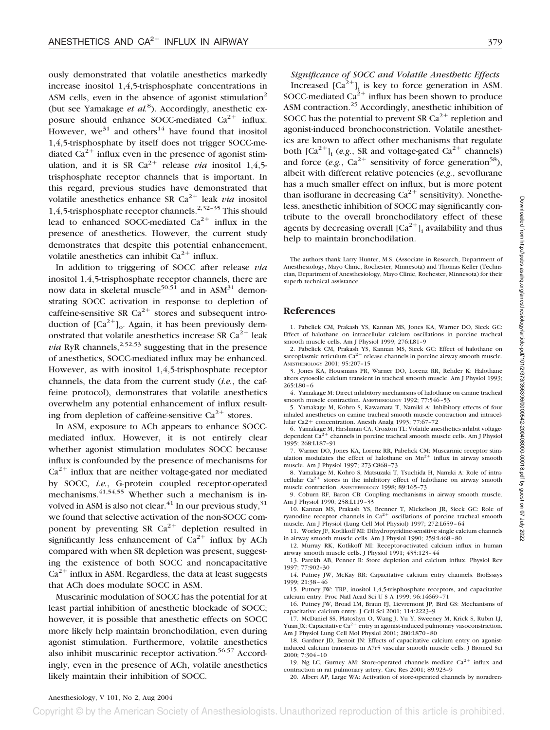ously demonstrated that volatile anesthetics markedly increase inositol 1,4,5-trisphosphate concentrations in ASM cells, even in the absence of agonist stimulation<sup>2</sup> (but see Yamakage *et al.*<sup>8</sup>). Accordingly, anesthetic exposure should enhance SOCC-mediated  $Ca^{2+}$  influx. However,  $we^{31}$  and others<sup>14</sup> have found that inositol 1,4,5-trisphosphate by itself does not trigger SOCC-mediated  $Ca^{2+}$  influx even in the presence of agonist stimulation, and it is SR  $Ca^{2+}$  release *via* inositol 1,4,5trisphosphate receptor channels that is important. In this regard, previous studies have demonstrated that volatile anesthetics enhance SR  $Ca^{2+}$  leak *via* inositol 1,4,5-trisphosphate receptor channels.<sup>2,32-35</sup> This should lead to enhanced SOCC-mediated  $Ca^{2+}$  influx in the presence of anesthetics. However, the current study demonstrates that despite this potential enhancement, volatile anesthetics can inhibit  $Ca^{2+}$  influx.

In addition to triggering of SOCC after release *via* inositol 1,4,5-trisphosphate receptor channels, there are now data in skeletal muscle<sup>50,51</sup> and in  $ASM<sup>31</sup>$  demonstrating SOCC activation in response to depletion of caffeine-sensitive SR  $Ca^{2+}$  stores and subsequent introduction of  $\left[Ca^{2+}\right]$ <sub>o</sub>. Again, it has been previously demonstrated that volatile anesthetics increase SR  $Ca^{2+}$  leak *via* RyR channels,  $^{2,52,53}$  suggesting that in the presence of anesthetics, SOCC-mediated influx may be enhanced. However, as with inositol 1,4,5-trisphosphate receptor channels, the data from the current study (*i.e.*, the caffeine protocol), demonstrates that volatile anesthetics overwhelm any potential enhancement of influx resulting from depletion of caffeine-sensitive  $Ca^{2+}$  stores.

In ASM, exposure to ACh appears to enhance SOCCmediated influx. However, it is not entirely clear whether agonist stimulation modulates SOCC because influx is confounded by the presence of mechanisms for  $Ca<sup>2+</sup>$  influx that are neither voltage-gated nor mediated by SOCC, *i.e.*, G-protein coupled receptor-operated mechanisms. $41,54,55$  Whether such a mechanism is involved in ASM is also not clear. $^{41}$  In our previous study, $^{31}$ we found that selective activation of the non-SOCC component by preventing SR  $Ca^{2+}$  depletion resulted in significantly less enhancement of  $Ca^{2+}$  influx by ACh compared with when SR depletion was present, suggesting the existence of both SOCC and noncapacitative  $Ca^{2+}$  influx in ASM. Regardless, the data at least suggests that ACh does modulate SOCC in ASM.

Muscarinic modulation of SOCC has the potential for at least partial inhibition of anesthetic blockade of SOCC; however, it is possible that anesthetic effects on SOCC more likely help maintain bronchodilation, even during agonist stimulation. Furthermore, volatile anesthetics also inhibit muscarinic receptor activation. $56,57$  Accordingly, even in the presence of ACh, volatile anesthetics likely maintain their inhibition of SOCC.

*Significance of SOCC and Volatile Anesthetic Effects* Increased  $[Ca^{2+}]$ <sub>i</sub> is key to force generation in ASM. SOCC-mediated  $Ca^{2+}$  influx has been shown to produce ASM contraction.<sup>25</sup> Accordingly, anesthetic inhibition of SOCC has the potential to prevent SR  $Ca^{2+}$  repletion and agonist-induced bronchoconstriction. Volatile anesthetics are known to affect other mechanisms that regulate both  $[Ca^{2+}]$ <sub>i</sub> (*e.g.*, SR and voltage-gated  $Ca^{2+}$  channels) and force (*e.g.*,  $Ca^{2+}$  sensitivity of force generation<sup>58</sup>), albeit with different relative potencies (*e.g.*, sevoflurane has a much smaller effect on influx, but is more potent than isoflurane in decreasing  $Ca^{2+}$  sensitivity). Nonetheless, anesthetic inhibition of SOCC may significantly contribute to the overall bronchodilatory effect of these agents by decreasing overall  $[Ca^{2+}]$ , availability and thus help to maintain bronchodilation.

The authors thank Larry Hunter, M.S. (Associate in Research, Department of Anesthesiology, Mayo Clinic, Rochester, Minnesota) and Thomas Keller (Technician, Department of Anesthesiology, Mayo Clinic, Rochester, Minnesota) for their superb technical assistance.

#### **References**

1. Pabelick CM, Prakash YS, Kannan MS, Jones KA, Warner DO, Sieck GC: Effect of halothane on intracellular calcium oscillations in porcine tracheal smooth muscle cells. Am J Physiol 1999; 276:L81–9

2. Pabelick CM, Prakash YS, Kannan MS, Sieck GC: Effect of halothane on sarcoplasmic reticulum  $Ca^{2+}$  release channels in porcine airway smooth muscle. ANESTHESIOLOGY 2001; 95:207–15

3. Jones KA, Housmans PR, Warner DO, Lorenz RR, Rehder K: Halothane alters cytosolic calcium transient in tracheal smooth muscle. Am J Physiol 1993; 265:L80–6

4. Yamakage M: Direct inhibitory mechanisms of halothane on canine tracheal smooth muscle contraction. ANESTHESIOLOGY 1992; 77:546-53

5. Yamakage M, Kohro S, Kawamata T, Namiki A: Inhibitory effects of four inhaled anesthetics on canine tracheal smooth muscle contraction and intracellular Ca2+ concentration. Anesth Analg 1993; 77:67-72

6. Yamakage M, Hirshman CA, Croxton TL: Volatile anesthetics inhibit voltagedependent  $Ca^{2+}$  channels in porcine tracheal smooth muscle cells. Am J Physiol 1995; 268:L187–91

7. Warner DO, Jones KA, Lorenz RR, Pabelick CM: Muscarinic receptor stimulation modulates the effect of halothane on  $Mn^{2+}$  influx in airway smooth muscle. Am J Physiol 1997; 273:C868–73

8. Yamakage M, Kohro S, Matsuzaki T, Tsuchida H, Namiki A: Role of intracellular  $Ca^{2+}$  stores in the inhibitory effect of halothane on airway smooth muscle contraction. ANESTHESIOLOGY 1998; 89:165–73

9. Coburn RF, Baron CB: Coupling mechanisms in airway smooth muscle. Am J Physiol 1990; 258:L119–33

10. Kannan MS, Prakash YS, Brenner T, Mickelson JR, Sieck GC: Role of ryanodine receptor channels in  $Ca^{2+}$  oscillations of porcine tracheal smooth muscle. Am J Physiol (Lung Cell Mol Physiol) 1997; 272:L659–64

11. Worley JF, Kotlikoff MI: Dihydropyridine-sensitive single calcium channels in airway smooth muscle cells. Am J Physiol 1990; 259:L468–80

12. Murray RK, Kotlikoff MI: Receptor-activated calcium influx in human airway smooth muscle cells. J Physiol 1991; 435:123–44

13. Parekh AB, Penner R: Store depletion and calcium influx. Physiol Rev 1997; 77:902–30

14. Putney JW, McKay RR: Capacitative calcium entry channels. BioEssays 1999; 21:38–46

15. Putney JW: TRP, inositol 1,4,5-trisphosphate receptors, and capacitative calcium entry. Proc Natl Acad Sci U S A 1999; 96:14669-71

16. Putney JW, Broad LM, Braun FJ, Lievremont JP, Bird GS: Mechanisms of capacitative calcium entry. J Cell Sci 2001; 114:2223–9

17. McDaniel SS, Platoshyn O, Wang J, Yu Y, Sweeney M, Krick S, Rubin LJ, Yuan JX: Capacitative Ca<sup>2+</sup> entry in agonist-induced pulmonary vasoconstriction. Am J Physiol Lung Cell Mol Physiol 2001; 280:L870–80

18. Gardner JD, Benoit JN: Effects of capacitative calcium entry on agonistinduced calcium transients in A7r5 vascular smooth muscle cells. J Biomed Sci 2000; 7:304–10

19. Ng LC, Gurney AM: Store-operated channels mediate  $Ca^{2+}$  influx and contraction in rat pulmonary artery. Circ Res 2001; 89:923–9

20. Albert AP, Large WA: Activation of store-operated channels by noradren-